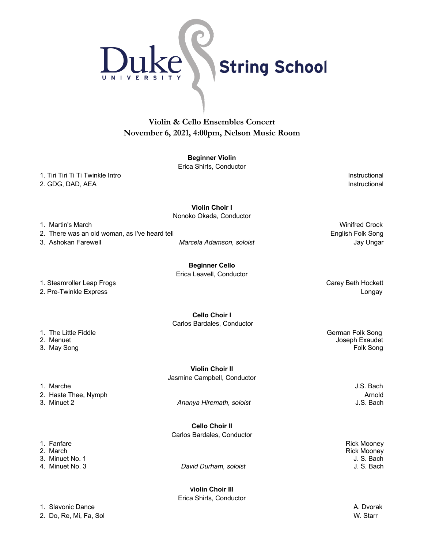

## **Violin & Cello Ensembles Concert November 6, 2021, 4:00pm, Nelson Music Room**

#### **Beginner Violin**

Erica Shirts, Conductor

1. Tiri Tiri Tiri Ti Twinkle Intro **Instructional** 2. GDG, DAD, AEA **Instructional** 

**Violin Choir I**

Nonoko Okada, Conductor

1. Martin's March Winifred Crock

2. There was an old woman, as I've heard tell entitled a state of the state of the English Folk Song

3. Ashokan Farewell *Marcela Adamson, soloist* Jay Ungar

**Beginner Cello** Erica Leavell, Conductor

1. Steamroller Leap Frogs Carey Beth Hockett

**Cello Choir I** Carlos Bardales, Conductor

- 
- 

**Violin Choir II**

2. Haste Thee, Nymph **Arnold Arnold Community Arnold Arnold Arnold Arnold Arnold** 

3. Minuet 2 *Ananya Hiremath, soloist* J.S. Bach

**Cello Choir II** Carlos Bardales, Conductor

David Durham, soloist

**Violin Choir III** Erica Shirts, Conductor

2. Pre-Twinkle Express **Longay Community** Community Community Community Community Community Community Community Community Community Community Community Community Community Community Community Community Community Community

1. The Little Fiddle German Folk Song 2. Menuet Joseph Exaudet

1. Marche J.S. Bach

1. Fanfare Rick Mooney **Rick Mooney** 3. Minuet No. 1J. S. Bach

1. Slavonic Dance **A. Discovery and A. Discovery and A. Discovery and A. Discovery and A. Discovery and A. Discovery and A. Discovery and A. Discovery and A. Discovery and A. Discovery and A. Discovery and A. Discovery and** 

2. Do, Re, Mi, Fa, Sol W. Starr

3. May Song Folk Song Formula and the second second second second second second second second second second second second second second second second second second second second second second second second second second s

Jasmine Campbell, Conductor